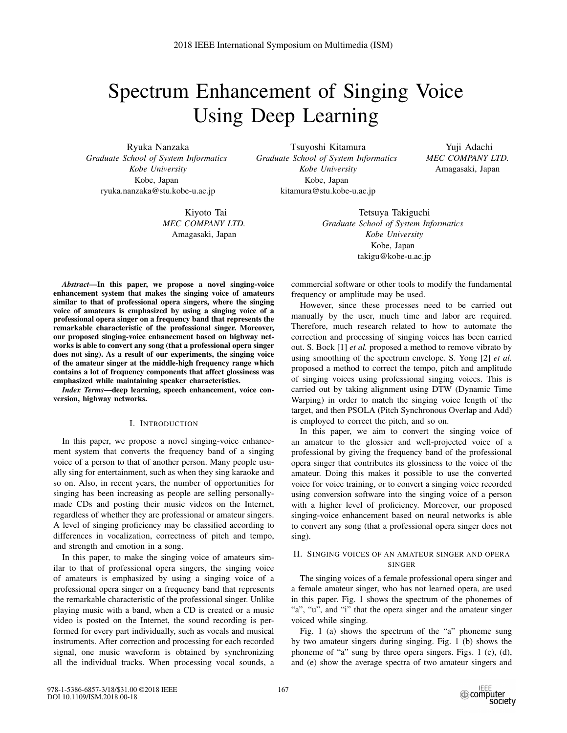# Spectrum Enhancement of Singing Voice Using Deep Learning

Ryuka Nanzaka *Graduate School of System Informatics Kobe University* Kobe, Japan ryuka.nanzaka@stu.kobe-u.ac.jp

> Kiyoto Tai *MEC COMPANY LTD.* Amagasaki, Japan

Tsuyoshi Kitamura *Graduate School of System Informatics Kobe University* Kobe, Japan kitamura@stu.kobe-u.ac.jp

Yuji Adachi *MEC COMPANY LTD.* Amagasaki, Japan

Tetsuya Takiguchi *Graduate School of System Informatics Kobe University* Kobe, Japan takigu@kobe-u.ac.jp

*Abstract*—In this paper, we propose a novel singing-voice enhancement system that makes the singing voice of amateurs similar to that of professional opera singers, where the singing voice of amateurs is emphasized by using a singing voice of a professional opera singer on a frequency band that represents the remarkable characteristic of the professional singer. Moreover, our proposed singing-voice enhancement based on highway networks is able to convert any song (that a professional opera singer does not sing). As a result of our experiments, the singing voice of the amateur singer at the middle-high frequency range which contains a lot of frequency components that affect glossiness was emphasized while maintaining speaker characteristics.

*Index Terms*—deep learning, speech enhancement, voice conversion, highway networks.

## I. INTRODUCTION

In this paper, we propose a novel singing-voice enhancement system that converts the frequency band of a singing voice of a person to that of another person. Many people usually sing for entertainment, such as when they sing karaoke and so on. Also, in recent years, the number of opportunities for singing has been increasing as people are selling personallymade CDs and posting their music videos on the Internet, regardless of whether they are professional or amateur singers. A level of singing proficiency may be classified according to differences in vocalization, correctness of pitch and tempo, and strength and emotion in a song.

In this paper, to make the singing voice of amateurs similar to that of professional opera singers, the singing voice of amateurs is emphasized by using a singing voice of a professional opera singer on a frequency band that represents the remarkable characteristic of the professional singer. Unlike playing music with a band, when a CD is created or a music video is posted on the Internet, the sound recording is performed for every part individually, such as vocals and musical instruments. After correction and processing for each recorded signal, one music waveform is obtained by synchronizing all the individual tracks. When processing vocal sounds, a commercial software or other tools to modify the fundamental frequency or amplitude may be used.

However, since these processes need to be carried out manually by the user, much time and labor are required. Therefore, much research related to how to automate the correction and processing of singing voices has been carried out. S. Bock [1] *et al.* proposed a method to remove vibrato by using smoothing of the spectrum envelope. S. Yong [2] *et al.* proposed a method to correct the tempo, pitch and amplitude of singing voices using professional singing voices. This is carried out by taking alignment using DTW (Dynamic Time Warping) in order to match the singing voice length of the target, and then PSOLA (Pitch Synchronous Overlap and Add) is employed to correct the pitch, and so on.

In this paper, we aim to convert the singing voice of an amateur to the glossier and well-projected voice of a professional by giving the frequency band of the professional opera singer that contributes its glossiness to the voice of the amateur. Doing this makes it possible to use the converted voice for voice training, or to convert a singing voice recorded using conversion software into the singing voice of a person with a higher level of proficiency. Moreover, our proposed singing-voice enhancement based on neural networks is able to convert any song (that a professional opera singer does not sing).

# II. SINGING VOICES OF AN AMATEUR SINGER AND OPERA SINGER

The singing voices of a female professional opera singer and a female amateur singer, who has not learned opera, are used in this paper. Fig. 1 shows the spectrum of the phonemes of "a", "u", and "i" that the opera singer and the amateur singer voiced while singing.

Fig. 1 (a) shows the spectrum of the "a" phoneme sung by two amateur singers during singing. Fig. 1 (b) shows the phoneme of "a" sung by three opera singers. Figs. 1 (c), (d), and (e) show the average spectra of two amateur singers and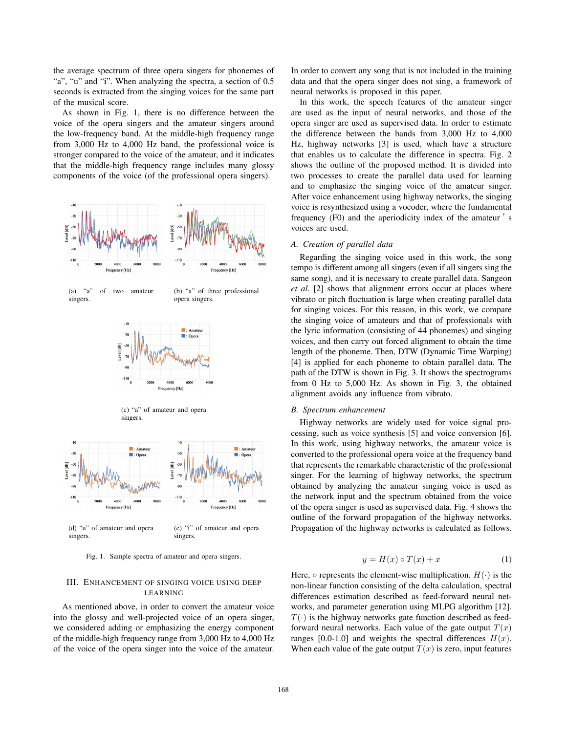the average spectrum of three opera singers for phonemes of "a", "u" and "i". When analyzing the spectra, a section of 0.5 seconds is extracted from the singing voices for the same part of the musical score.

As shown in Fig. 1, there is no difference between the voice of the opera singers and the amateur singers around the low-frequency band. At the middle-high frequency range from 3,000 Hz to 4,000 Hz band, the professional voice is stronger compared to the voice of the amateur, and it indicates that the middle-high frequency range includes many glossy components of the voice (of the professional opera singers).



Fig. 1. Sample spectra of amateur and opera singers.

# III. ENHANCEMENT OF SINGING VOICE USING DEEP LEARNING

As mentioned above, in order to convert the amateur voice into the glossy and well-projected voice of an opera singer, we considered adding or emphasizing the energy component of the middle-high frequency range from 3,000 Hz to 4,000 Hz of the voice of the opera singer into the voice of the amateur. In order to convert any song that is not included in the training data and that the opera singer does not sing, a framework of neural networks is proposed in this paper.

In this work, the speech features of the amateur singer are used as the input of neural networks, and those of the opera singer are used as supervised data. In order to estimate the difference between the bands from 3,000 Hz to 4,000 Hz, highway networks [3] is used, which have a structure that enables us to calculate the difference in spectra. Fig. 2 shows the outline of the proposed method. It is divided into two processes to create the parallel data used for learning and to emphasize the singing voice of the amateur singer. After voice enhancement using highway networks, the singing voice is resynthesized using a vocoder, where the fundamental frequency (F0) and the aperiodicity index of the amateur 's voices are used.

## *A. Creation of parallel data*

Regarding the singing voice used in this work, the song tempo is different among all singers (even if all singers sing the same song), and it is necessary to create parallel data. Sangeon *et al.* [2] shows that alignment errors occur at places where vibrato or pitch fluctuation is large when creating parallel data for singing voices. For this reason, in this work, we compare the singing voice of amateurs and that of professionals with the lyric information (consisting of 44 phonemes) and singing voices, and then carry out forced alignment to obtain the time length of the phoneme. Then, DTW (Dynamic Time Warping) [4] is applied for each phoneme to obtain parallel data. The path of the DTW is shown in Fig. 3. It shows the spectrograms from 0 Hz to 5,000 Hz. As shown in Fig. 3, the obtained alignment avoids any influence from vibrato.

## *B. Spectrum enhancement*

Highway networks are widely used for voice signal processing, such as voice synthesis [5] and voice conversion [6]. In this work, using highway networks, the amateur voice is converted to the professional opera voice at the frequency band that represents the remarkable characteristic of the professional singer. For the learning of highway networks, the spectrum obtained by analyzing the amateur singing voice is used as the network input and the spectrum obtained from the voice of the opera singer is used as supervised data. Fig. 4 shows the outline of the forward propagation of the highway networks. Propagation of the highway networks is calculated as follows.

$$
y = H(x) \circ T(x) + x \tag{1}
$$

Here,  $\circ$  represents the element-wise multiplication.  $H(\cdot)$  is the non-linear function consisting of the delta calculation, spectral differences estimation described as feed-forward neural networks, and parameter generation using MLPG algorithm [12].  $T(\cdot)$  is the highway networks gate function described as feedforward neural networks. Each value of the gate output  $T(x)$ ranges [0.0-1.0] and weights the spectral differences  $H(x)$ . When each value of the gate output  $T(x)$  is zero, input features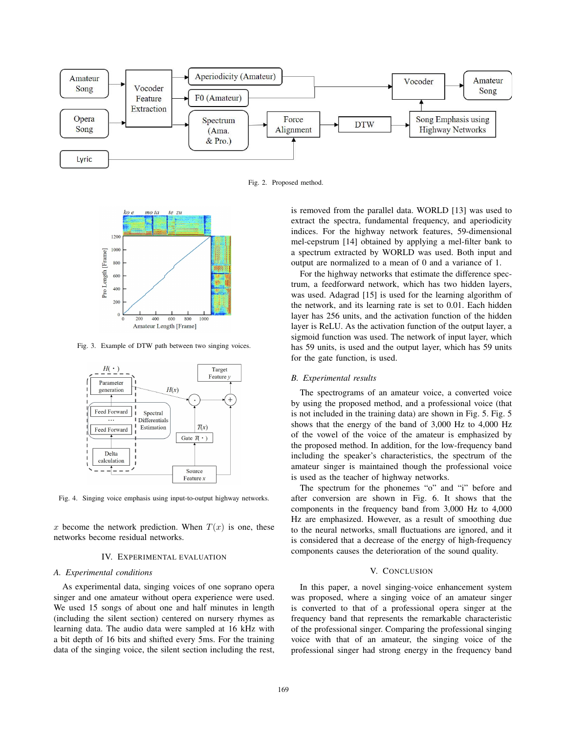

Fig. 2. Proposed method.



Fig. 3. Example of DTW path between two singing voices.



Fig. 4. Singing voice emphasis using input-to-output highway networks.

x become the network prediction. When  $T(x)$  is one, these networks become residual networks.

#### IV. EXPERIMENTAL EVALUATION

## *A. Experimental conditions*

As experimental data, singing voices of one soprano opera singer and one amateur without opera experience were used. We used 15 songs of about one and half minutes in length (including the silent section) centered on nursery rhymes as learning data. The audio data were sampled at 16 kHz with a bit depth of 16 bits and shifted every 5ms. For the training data of the singing voice, the silent section including the rest, is removed from the parallel data. WORLD [13] was used to extract the spectra, fundamental frequency, and aperiodicity indices. For the highway network features, 59-dimensional mel-cepstrum [14] obtained by applying a mel-filter bank to a spectrum extracted by WORLD was used. Both input and output are normalized to a mean of 0 and a variance of 1.

For the highway networks that estimate the difference spectrum, a feedforward network, which has two hidden layers, was used. Adagrad [15] is used for the learning algorithm of the network, and its learning rate is set to 0.01. Each hidden layer has 256 units, and the activation function of the hidden layer is ReLU. As the activation function of the output layer, a sigmoid function was used. The network of input layer, which has 59 units, is used and the output layer, which has 59 units for the gate function, is used.

### *B. Experimental results*

The spectrograms of an amateur voice, a converted voice by using the proposed method, and a professional voice (that is not included in the training data) are shown in Fig. 5. Fig. 5 shows that the energy of the band of 3,000 Hz to 4,000 Hz of the vowel of the voice of the amateur is emphasized by the proposed method. In addition, for the low-frequency band including the speaker's characteristics, the spectrum of the amateur singer is maintained though the professional voice is used as the teacher of highway networks.

The spectrum for the phonemes "o" and "i" before and after conversion are shown in Fig. 6. It shows that the components in the frequency band from 3,000 Hz to 4,000 Hz are emphasized. However, as a result of smoothing due to the neural networks, small fluctuations are ignored, and it is considered that a decrease of the energy of high-frequency components causes the deterioration of the sound quality.

## V. CONCLUSION

In this paper, a novel singing-voice enhancement system was proposed, where a singing voice of an amateur singer is converted to that of a professional opera singer at the frequency band that represents the remarkable characteristic of the professional singer. Comparing the professional singing voice with that of an amateur, the singing voice of the professional singer had strong energy in the frequency band